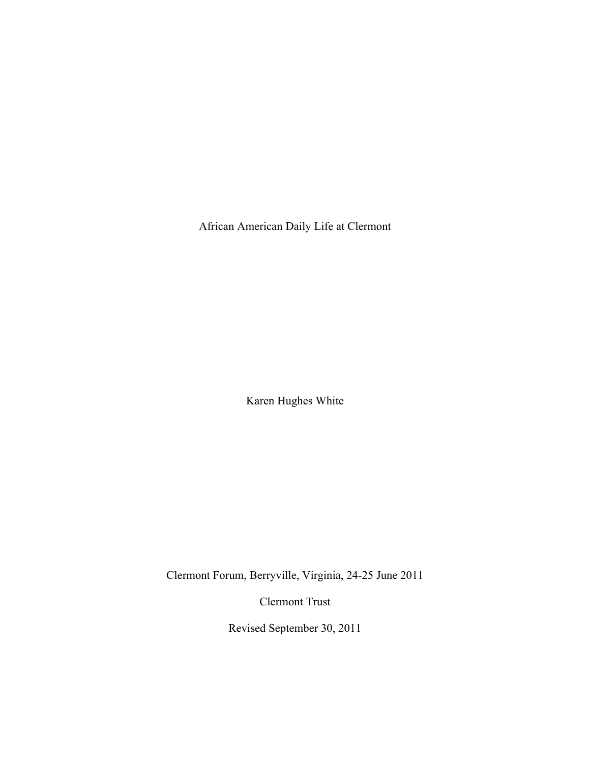African American Daily Life at Clermont

Karen Hughes White

Clermont Forum, Berryville, Virginia, 24-25 June 2011

Clermont Trust

Revised September 30, 2011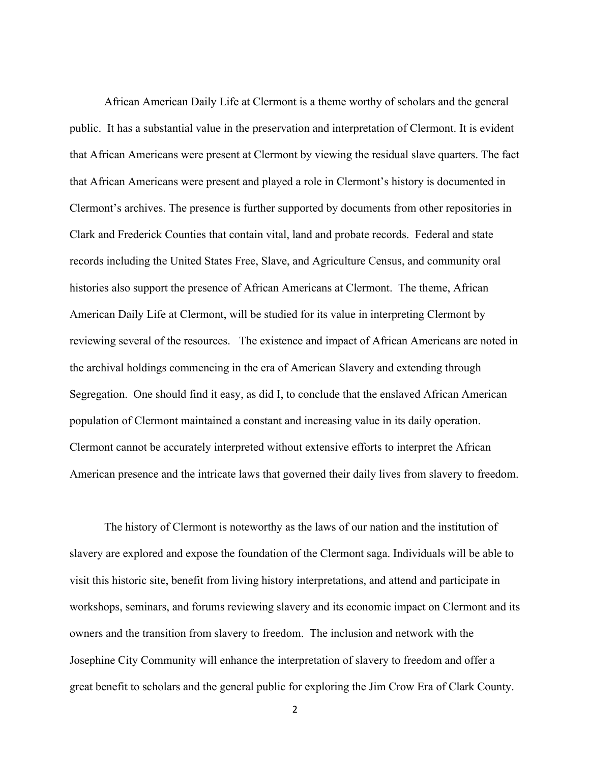African American Daily Life at Clermont is a theme worthy of scholars and the general public. It has a substantial value in the preservation and interpretation of Clermont. It is evident that African Americans were present at Clermont by viewing the residual slave quarters. The fact that African Americans were present and played a role in Clermont's history is documented in Clermont's archives. The presence is further supported by documents from other repositories in Clark and Frederick Counties that contain vital, land and probate records. Federal and state records including the United States Free, Slave, and Agriculture Census, and community oral histories also support the presence of African Americans at Clermont. The theme, African American Daily Life at Clermont, will be studied for its value in interpreting Clermont by reviewing several of the resources. The existence and impact of African Americans are noted in the archival holdings commencing in the era of American Slavery and extending through Segregation. One should find it easy, as did I, to conclude that the enslaved African American population of Clermont maintained a constant and increasing value in its daily operation. Clermont cannot be accurately interpreted without extensive efforts to interpret the African American presence and the intricate laws that governed their daily lives from slavery to freedom.

The history of Clermont is noteworthy as the laws of our nation and the institution of slavery are explored and expose the foundation of the Clermont saga. Individuals will be able to visit this historic site, benefit from living history interpretations, and attend and participate in workshops, seminars, and forums reviewing slavery and its economic impact on Clermont and its owners and the transition from slavery to freedom. The inclusion and network with the Josephine City Community will enhance the interpretation of slavery to freedom and offer a great benefit to scholars and the general public for exploring the Jim Crow Era of Clark County.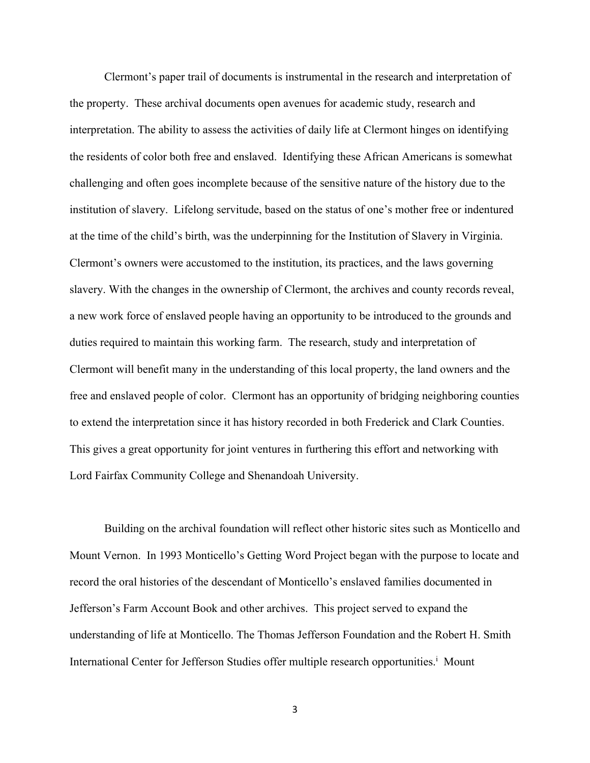Clermont's paper trail of documents is instrumental in the research and interpretation of the property. These archival documents open avenues for academic study, research and interpretation. The ability to assess the activities of daily life at Clermont hinges on identifying the residents of color both free and enslaved. Identifying these African Americans is somewhat challenging and often goes incomplete because of the sensitive nature of the history due to the institution of slavery. Lifelong servitude, based on the status of one's mother free or indentured at the time of the child's birth, was the underpinning for the Institution of Slavery in Virginia. Clermont's owners were accustomed to the institution, its practices, and the laws governing slavery. With the changes in the ownership of Clermont, the archives and county records reveal, a new work force of enslaved people having an opportunity to be introduced to the grounds and duties required to maintain this working farm. The research, study and interpretation of Clermont will benefit many in the understanding of this local property, the land owners and the free and enslaved people of color. Clermont has an opportunity of bridging neighboring counties to extend the interpretation since it has history recorded in both Frederick and Clark Counties. This gives a great opportunity for joint ventures in furthering this effort and networking with Lord Fairfax Community College and Shenandoah University.

Building on the archival foundation will reflect other historic sites such as Monticello and Mount Vernon. In 1993 Monticello's Getting Word Project began with the purpose to locate and record the oral histories of the descendant of Monticello's enslaved families documented in Jefferson's Farm Account Book and other archives. This project served to expand the understanding of life at Monticello. The Thomas Jefferson Foundation and the Robert H. Smith International Center for Jefferson Studies offer multiple research opportunities.<sup>i</sup> Mount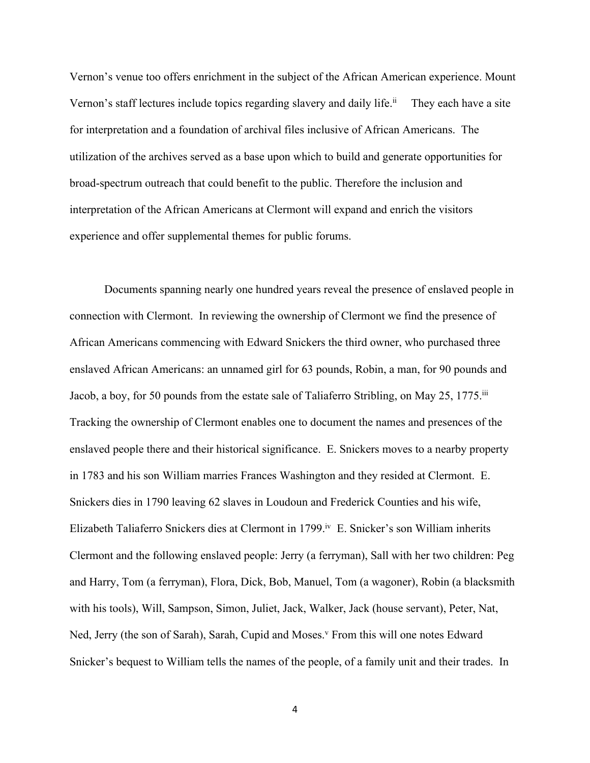Vernon's venue too offers enrichment in the subject of the African American experience. Mount Vernon's staff lectures include topics regarding slavery and daily life.<sup>ii</sup> They each have a site for interpretation and a foundation of archival files inclusive of African Americans. The utilization of the archives served as a base upon which to build and generate opportunities for broad-spectrum outreach that could benefit to the public. Therefore the inclusion and interpretation of the African Americans at Clermont will expand and enrich the visitors experience and offer supplemental themes for public forums.

Documents spanning nearly one hundred years reveal the presence of enslaved people in connection with Clermont. In reviewing the ownership of Clermont we find the presence of African Americans commencing with Edward Snickers the third owner, who purchased three enslaved African Americans: an unnamed girl for 63 pounds, Robin, a man, for 90 pounds and Jacob, a boy, for 50 pounds from the estate sale of Taliaferro Stribling, on May 25, 1775.<sup>iii</sup> Tracking the ownership of Clermont enables one to document the names and presences of the enslaved people there and their historical significance. E. Snickers moves to a nearby property in 1783 and his son William marries Frances Washington and they resided at Clermont. E. Snickers dies in 1790 leaving 62 slaves in Loudoun and Frederick Counties and his wife, Elizabeth Taliaferro Snickers dies at Clermont in 1799.<sup>iv</sup> E. Snicker's son William inherits Clermont and the following enslaved people: Jerry (a ferryman), Sall with her two children: Peg and Harry, Tom (a ferryman), Flora, Dick, Bob, Manuel, Tom (a wagoner), Robin (a blacksmith with his tools), Will, Sampson, Simon, Juliet, Jack, Walker, Jack (house servant), Peter, Nat, Ned, Jerry (the son of Sarah), Sarah, Cupid and Moses.<sup>v</sup> From this will one notes Edward Snicker's bequest to William tells the names of the people, of a family unit and their trades. In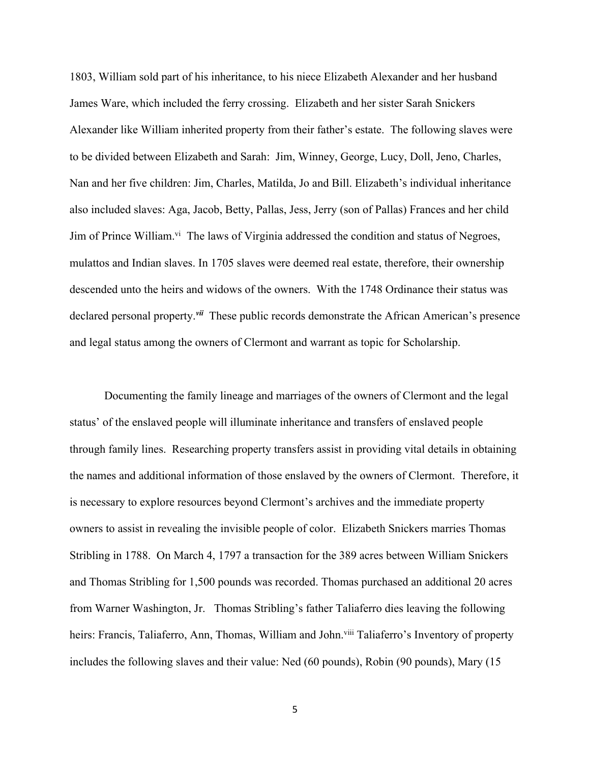1803, William sold part of his inheritance, to his niece Elizabeth Alexander and her husband James Ware, which included the ferry crossing. Elizabeth and her sister Sarah Snickers Alexander like William inherited property from their father's estate. The following slaves were to be divided between Elizabeth and Sarah: Jim, Winney, George, Lucy, Doll, Jeno, Charles, Nan and her five children: Jim, Charles, Matilda, Jo and Bill. Elizabeth's individual inheritance also included slaves: Aga, Jacob, Betty, Pallas, Jess, Jerry (son of Pallas) Frances and her child Jim of Prince William.<sup>vi</sup> The laws of Virginia addressed the condition and status of Negroes, mulattos and Indian slaves. In 1705 slaves were deemed real estate, therefore, their ownership descended unto the heirs and widows of the owners. With the 1748 Ordinance their status was declared personal property.*vii* These public records demonstrate the African American's presence and legal status among the owners of Clermont and warrant as topic for Scholarship.

Documenting the family lineage and marriages of the owners of Clermont and the legal status' of the enslaved people will illuminate inheritance and transfers of enslaved people through family lines. Researching property transfers assist in providing vital details in obtaining the names and additional information of those enslaved by the owners of Clermont. Therefore, it is necessary to explore resources beyond Clermont's archives and the immediate property owners to assist in revealing the invisible people of color. Elizabeth Snickers marries Thomas Stribling in 1788. On March 4, 1797 a transaction for the 389 acres between William Snickers and Thomas Stribling for 1,500 pounds was recorded. Thomas purchased an additional 20 acres from Warner Washington, Jr. Thomas Stribling's father Taliaferro dies leaving the following heirs: Francis, Taliaferro, Ann, Thomas, William and John.<sup>viii</sup> Taliaferro's Inventory of property includes the following slaves and their value: Ned (60 pounds), Robin (90 pounds), Mary (15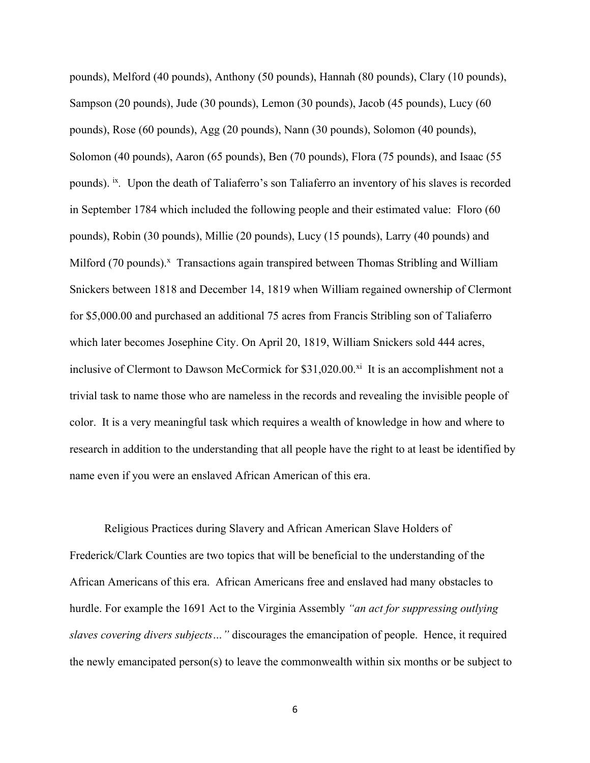pounds), Melford (40 pounds), Anthony (50 pounds), Hannah (80 pounds), Clary (10 pounds), Sampson (20 pounds), Jude (30 pounds), Lemon (30 pounds), Jacob (45 pounds), Lucy (60 pounds), Rose (60 pounds), Agg (20 pounds), Nann (30 pounds), Solomon (40 pounds), Solomon (40 pounds), Aaron (65 pounds), Ben (70 pounds), Flora (75 pounds), and Isaac (55 pounds). <sup>ix</sup>. Upon the death of Taliaferro's son Taliaferro an inventory of his slaves is recorded in September 1784 which included the following people and their estimated value: Floro (60 pounds), Robin (30 pounds), Millie (20 pounds), Lucy (15 pounds), Larry (40 pounds) and Milford (70 pounds).<sup>x</sup> Transactions again transpired between Thomas Stribling and William Snickers between 1818 and December 14, 1819 when William regained ownership of Clermont for \$5,000.00 and purchased an additional 75 acres from Francis Stribling son of Taliaferro which later becomes Josephine City. On April 20, 1819, William Snickers sold 444 acres, inclusive of Clermont to Dawson McCormick for  $$31,020.00<sup>xi</sup>$  It is an accomplishment not a trivial task to name those who are nameless in the records and revealing the invisible people of color. It is a very meaningful task which requires a wealth of knowledge in how and where to research in addition to the understanding that all people have the right to at least be identified by name even if you were an enslaved African American of this era.

Religious Practices during Slavery and African American Slave Holders of Frederick/Clark Counties are two topics that will be beneficial to the understanding of the African Americans of this era. African Americans free and enslaved had many obstacles to hurdle. For example the 1691 Act to the Virginia Assembly *"an act for suppressing outlying slaves covering divers subjects…"* discourages the emancipation of people. Hence, it required the newly emancipated person(s) to leave the commonwealth within six months or be subject to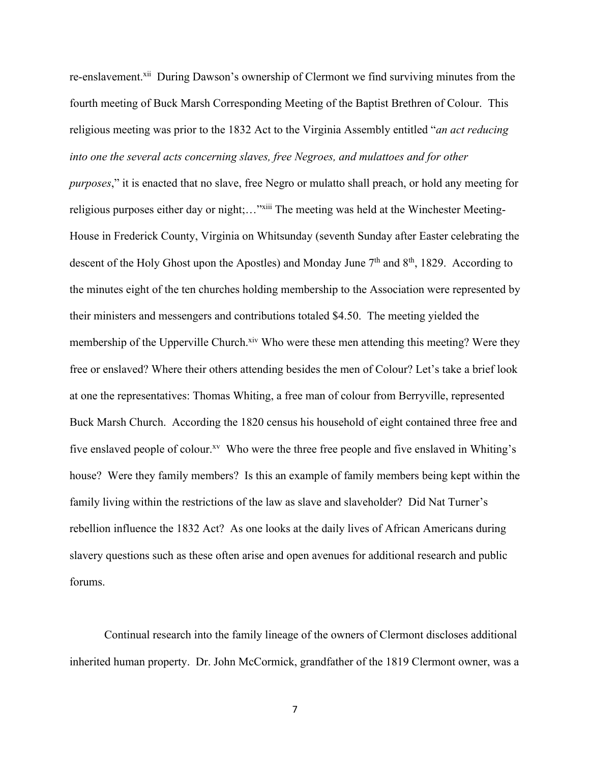re-enslavement.xii During Dawson's ownership of Clermont we find surviving minutes from the fourth meeting of Buck Marsh Corresponding Meeting of the Baptist Brethren of Colour. This religious meeting was prior to the 1832 Act to the Virginia Assembly entitled "*an act reducing into one the several acts concerning slaves, free Negroes, and mulattoes and for other purposes*," it is enacted that no slave, free Negro or mulatto shall preach, or hold any meeting for religious purposes either day or night;..."xiii The meeting was held at the Winchester Meeting-House in Frederick County, Virginia on Whitsunday (seventh Sunday after Easter celebrating the descent of the Holy Ghost upon the Apostles) and Monday June  $7<sup>th</sup>$  and  $8<sup>th</sup>$ , 1829. According to the minutes eight of the ten churches holding membership to the Association were represented by their ministers and messengers and contributions totaled \$4.50. The meeting yielded the membership of the Upperville Church.<sup>xiv</sup> Who were these men attending this meeting? Were they free or enslaved? Where their others attending besides the men of Colour? Let's take a brief look at one the representatives: Thomas Whiting, a free man of colour from Berryville, represented Buck Marsh Church. According the 1820 census his household of eight contained three free and five enslaved people of colour.<sup>xv</sup> Who were the three free people and five enslaved in Whiting's house? Were they family members? Is this an example of family members being kept within the family living within the restrictions of the law as slave and slaveholder? Did Nat Turner's rebellion influence the 1832 Act? As one looks at the daily lives of African Americans during slavery questions such as these often arise and open avenues for additional research and public forums.

Continual research into the family lineage of the owners of Clermont discloses additional inherited human property. Dr. John McCormick, grandfather of the 1819 Clermont owner, was a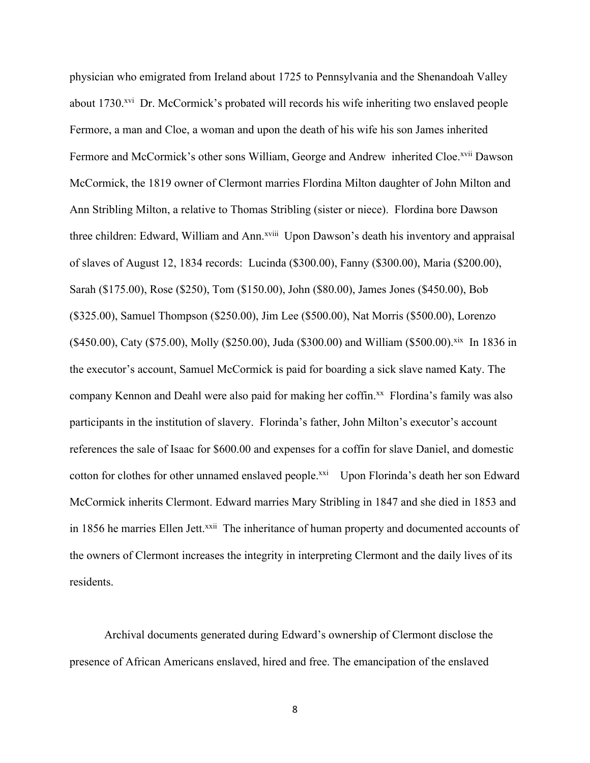physician who emigrated from Ireland about 1725 to Pennsylvania and the Shenandoah Valley about 1730<sup>xvi</sup> Dr. McCormick's probated will records his wife inheriting two enslaved people Fermore, a man and Cloe, a woman and upon the death of his wife his son James inherited Fermore and McCormick's other sons William, George and Andrew inherited Cloe.<sup>xvii</sup> Dawson McCormick, the 1819 owner of Clermont marries Flordina Milton daughter of John Milton and Ann Stribling Milton, a relative to Thomas Stribling (sister or niece). Flordina bore Dawson three children: Edward, William and Ann.<sup>xviii</sup> Upon Dawson's death his inventory and appraisal of slaves of August 12, 1834 records: Lucinda (\$300.00), Fanny (\$300.00), Maria (\$200.00), Sarah (\$175.00), Rose (\$250), Tom (\$150.00), John (\$80.00), James Jones (\$450.00), Bob (\$325.00), Samuel Thompson (\$250.00), Jim Lee (\$500.00), Nat Morris (\$500.00), Lorenzo (\$450.00), Caty (\$75.00), Molly (\$250.00), Juda (\$300.00) and William (\$500.00).<sup>xix</sup> In 1836 in the executor's account, Samuel McCormick is paid for boarding a sick slave named Katy. The company Kennon and Deahl were also paid for making her coffin.<sup>xx</sup> Flordina's family was also participants in the institution of slavery. Florinda's father, John Milton's executor's account references the sale of Isaac for \$600.00 and expenses for a coffin for slave Daniel, and domestic cotton for clothes for other unnamed enslaved people.<sup>xxi</sup> Upon Florinda's death her son Edward McCormick inherits Clermont. Edward marries Mary Stribling in 1847 and she died in 1853 and in 1856 he marries Ellen Jett.<sup>xxii</sup> The inheritance of human property and documented accounts of the owners of Clermont increases the integrity in interpreting Clermont and the daily lives of its residents.

Archival documents generated during Edward's ownership of Clermont disclose the presence of African Americans enslaved, hired and free. The emancipation of the enslaved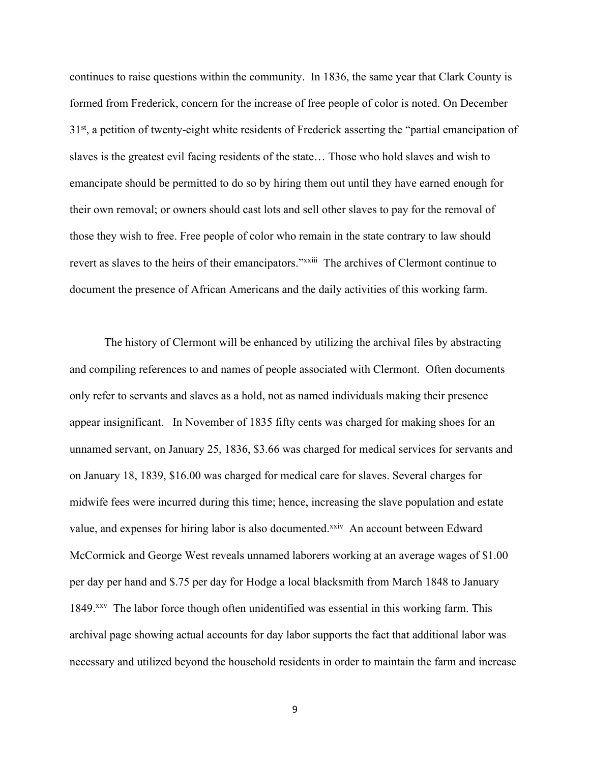continues to raise questions within the community. In 1836, the same year that Clark County is formed from Frederick, concern for the increase of free people of color is noted. On December 3<sup>1st</sup>, a petition of twenty-eight white residents of Frederick asserting the "partial emancipation of slaves is the greatest evil facing residents of the state… Those who hold slaves and wish to emancipate should be permitted to do so by hiring them out until they have earned enough for their own removal; or owners should cast lots and sell other slaves to pay for the removal of those they wish to free. Free people of color who remain in the state contrary to law should revert as slaves to the heirs of their emancipators."*xxiii* The archives of Clermont continue to document the presence of African Americans and the daily activities of this working farm.

The history of Clermont will be enhanced by utilizing the archival files by abstracting and compiling references to and names of people associated with Clermont. Often documents only refer to servants and slaves as a hold, not as named individuals making their presence appear insignificant. In November of 1835 fifty cents was charged for making shoes for an unnamed servant, on January 25, 1836, \$3.66 was charged for medical services for servants and on January 18, 1839, \$16.00 was charged for medical care for slaves. Several charges for midwife fees were incurred during this time; hence, increasing the slave population and estate value, and expenses for hiring labor is also documented.<sup>xxiv</sup> An account between Edward McCormick and George West reveals unnamed laborers working at an average wages of \$1.00 per day per hand and \$.75 per day for Hodge a local blacksmith from March 1848 to January 1849.<sup>xxv</sup> The labor force though often unidentified was essential in this working farm. This archival page showing actual accounts for day labor supports the fact that additional labor was necessary and utilized beyond the household residents in order to maintain the farm and increase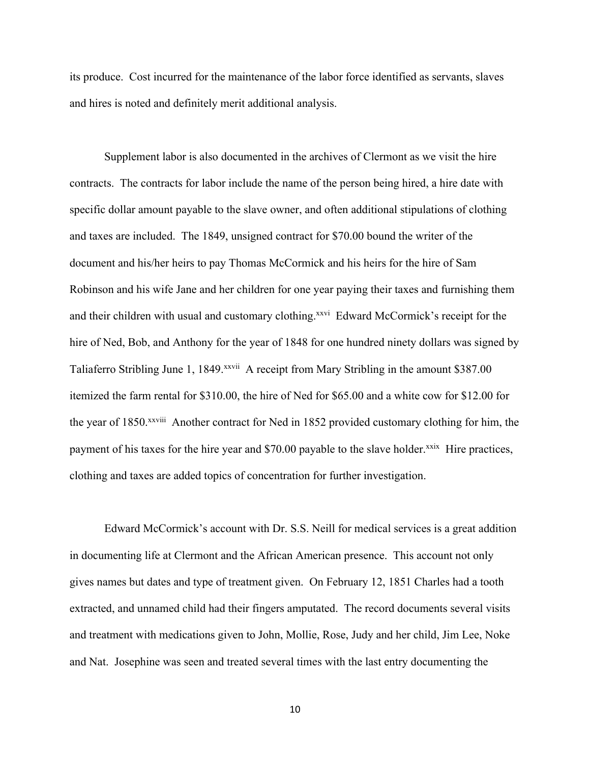its produce. Cost incurred for the maintenance of the labor force identified as servants, slaves and hires is noted and definitely merit additional analysis.

Supplement labor is also documented in the archives of Clermont as we visit the hire contracts. The contracts for labor include the name of the person being hired, a hire date with specific dollar amount payable to the slave owner, and often additional stipulations of clothing and taxes are included. The 1849, unsigned contract for \$70.00 bound the writer of the document and his/her heirs to pay Thomas McCormick and his heirs for the hire of Sam Robinson and his wife Jane and her children for one year paying their taxes and furnishing them and their children with usual and customary clothing.<sup>xxvi</sup> Edward McCormick's receipt for the hire of Ned, Bob, and Anthony for the year of 1848 for one hundred ninety dollars was signed by Taliaferro Stribling June 1, 1849.<sup>xxvii</sup> A receipt from Mary Stribling in the amount \$387.00 itemized the farm rental for \$310.00, the hire of Ned for \$65.00 and a white cow for \$12.00 for the year of 1850.<sup>xxviii</sup> Another contract for Ned in 1852 provided customary clothing for him, the payment of his taxes for the hire year and \$70.00 payable to the slave holder.<sup>xxix</sup> Hire practices, clothing and taxes are added topics of concentration for further investigation.

Edward McCormick's account with Dr. S.S. Neill for medical services is a great addition in documenting life at Clermont and the African American presence. This account not only gives names but dates and type of treatment given. On February 12, 1851 Charles had a tooth extracted, and unnamed child had their fingers amputated. The record documents several visits and treatment with medications given to John, Mollie, Rose, Judy and her child, Jim Lee, Noke and Nat. Josephine was seen and treated several times with the last entry documenting the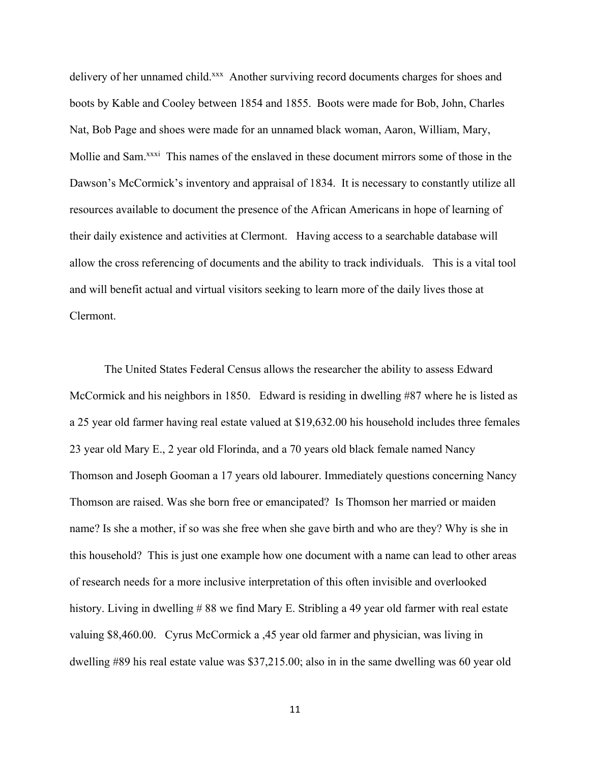delivery of her unnamed child.<sup>xxx</sup> Another surviving record documents charges for shoes and boots by Kable and Cooley between 1854 and 1855. Boots were made for Bob, John, Charles Nat, Bob Page and shoes were made for an unnamed black woman, Aaron, William, Mary, Mollie and Sam.<sup>xxxi</sup> This names of the enslaved in these document mirrors some of those in the Dawson's McCormick's inventory and appraisal of 1834. It is necessary to constantly utilize all resources available to document the presence of the African Americans in hope of learning of their daily existence and activities at Clermont. Having access to a searchable database will allow the cross referencing of documents and the ability to track individuals. This is a vital tool and will benefit actual and virtual visitors seeking to learn more of the daily lives those at Clermont.

The United States Federal Census allows the researcher the ability to assess Edward McCormick and his neighbors in 1850. Edward is residing in dwelling #87 where he is listed as a 25 year old farmer having real estate valued at \$19,632.00 his household includes three females 23 year old Mary E., 2 year old Florinda, and a 70 years old black female named Nancy Thomson and Joseph Gooman a 17 years old labourer. Immediately questions concerning Nancy Thomson are raised. Was she born free or emancipated? Is Thomson her married or maiden name? Is she a mother, if so was she free when she gave birth and who are they? Why is she in this household? This is just one example how one document with a name can lead to other areas of research needs for a more inclusive interpretation of this often invisible and overlooked history. Living in dwelling #88 we find Mary E. Stribling a 49 year old farmer with real estate valuing \$8,460.00. Cyrus McCormick a ,45 year old farmer and physician, was living in dwelling #89 his real estate value was \$37,215.00; also in in the same dwelling was 60 year old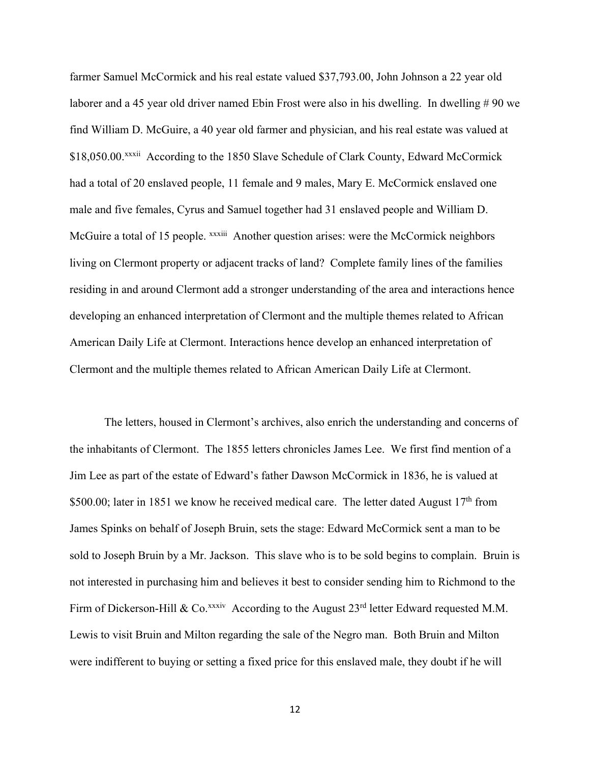farmer Samuel McCormick and his real estate valued \$37,793.00, John Johnson a 22 year old laborer and a 45 year old driver named Ebin Frost were also in his dwelling. In dwelling #90 we find William D. McGuire, a 40 year old farmer and physician, and his real estate was valued at \$18,050.00.<sup>xxxii</sup> According to the 1850 Slave Schedule of Clark County, Edward McCormick had a total of 20 enslaved people, 11 female and 9 males, Mary E. McCormick enslaved one male and five females, Cyrus and Samuel together had 31 enslaved people and William D. McGuire a total of 15 people. xxxiii Another question arises: were the McCormick neighbors living on Clermont property or adjacent tracks of land? Complete family lines of the families residing in and around Clermont add a stronger understanding of the area and interactions hence developing an enhanced interpretation of Clermont and the multiple themes related to African American Daily Life at Clermont. Interactions hence develop an enhanced interpretation of Clermont and the multiple themes related to African American Daily Life at Clermont.

The letters, housed in Clermont's archives, also enrich the understanding and concerns of the inhabitants of Clermont. The 1855 letters chronicles James Lee. We first find mention of a Jim Lee as part of the estate of Edward's father Dawson McCormick in 1836, he is valued at \$500.00; later in 1851 we know he received medical care. The letter dated August  $17<sup>th</sup>$  from James Spinks on behalf of Joseph Bruin, sets the stage: Edward McCormick sent a man to be sold to Joseph Bruin by a Mr. Jackson. This slave who is to be sold begins to complain. Bruin is not interested in purchasing him and believes it best to consider sending him to Richmond to the Firm of Dickerson-Hill & Co.<sup>xxxiv</sup> According to the August 23<sup>rd</sup> letter Edward requested M.M. Lewis to visit Bruin and Milton regarding the sale of the Negro man. Both Bruin and Milton were indifferent to buying or setting a fixed price for this enslaved male, they doubt if he will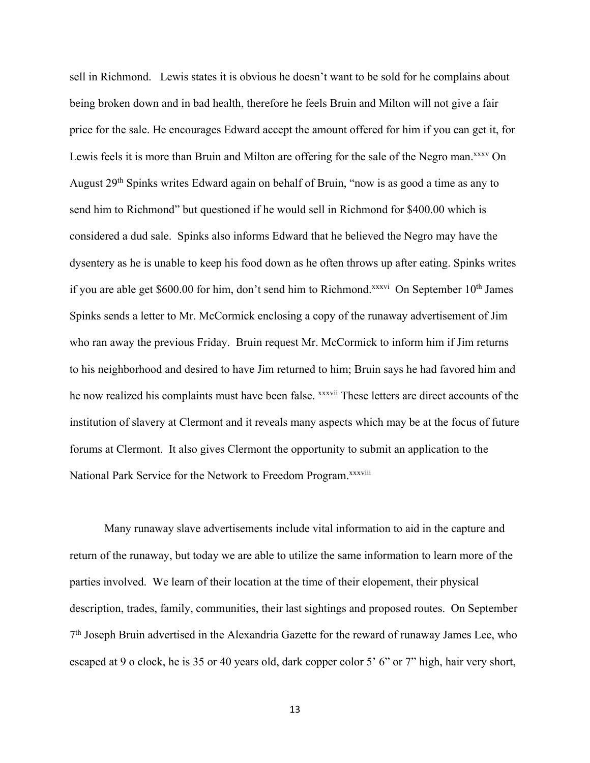sell in Richmond. Lewis states it is obvious he doesn't want to be sold for he complains about being broken down and in bad health, therefore he feels Bruin and Milton will not give a fair price for the sale. He encourages Edward accept the amount offered for him if you can get it, for Lewis feels it is more than Bruin and Milton are offering for the sale of the Negro man.<sup>xxxv</sup> On August 29th Spinks writes Edward again on behalf of Bruin, "now is as good a time as any to send him to Richmond" but questioned if he would sell in Richmond for \$400.00 which is considered a dud sale. Spinks also informs Edward that he believed the Negro may have the dysentery as he is unable to keep his food down as he often throws up after eating. Spinks writes if you are able get \$600.00 for him, don't send him to Richmond.<sup>xxxvi</sup> On September  $10<sup>th</sup>$  James Spinks sends a letter to Mr. McCormick enclosing a copy of the runaway advertisement of Jim who ran away the previous Friday. Bruin request Mr. McCormick to inform him if Jim returns to his neighborhood and desired to have Jim returned to him; Bruin says he had favored him and he now realized his complaints must have been false. *xxxvii* These letters are direct accounts of the institution of slavery at Clermont and it reveals many aspects which may be at the focus of future forums at Clermont. It also gives Clermont the opportunity to submit an application to the National Park Service for the Network to Freedom Program.<sup>xxxviii</sup>

Many runaway slave advertisements include vital information to aid in the capture and return of the runaway, but today we are able to utilize the same information to learn more of the parties involved. We learn of their location at the time of their elopement, their physical description, trades, family, communities, their last sightings and proposed routes. On September  $7<sup>th</sup>$  Joseph Bruin advertised in the Alexandria Gazette for the reward of runaway James Lee, who escaped at 9 o clock, he is 35 or 40 years old, dark copper color 5' 6" or 7" high, hair very short,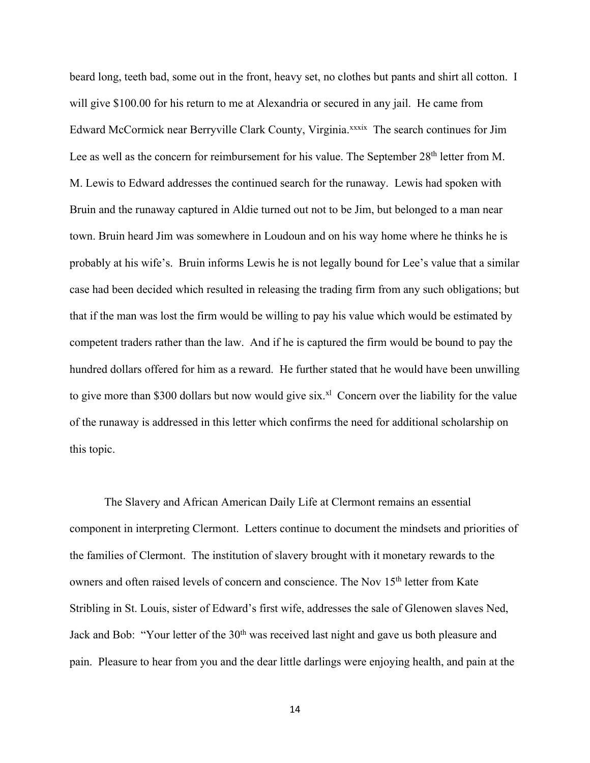beard long, teeth bad, some out in the front, heavy set, no clothes but pants and shirt all cotton. I will give \$100.00 for his return to me at Alexandria or secured in any jail. He came from Edward McCormick near Berryville Clark County, Virginia.<sup>xxxix</sup> The search continues for Jim Lee as well as the concern for reimbursement for his value. The September 28<sup>th</sup> letter from M. M. Lewis to Edward addresses the continued search for the runaway. Lewis had spoken with Bruin and the runaway captured in Aldie turned out not to be Jim, but belonged to a man near town. Bruin heard Jim was somewhere in Loudoun and on his way home where he thinks he is probably at his wife's. Bruin informs Lewis he is not legally bound for Lee's value that a similar case had been decided which resulted in releasing the trading firm from any such obligations; but that if the man was lost the firm would be willing to pay his value which would be estimated by competent traders rather than the law. And if he is captured the firm would be bound to pay the hundred dollars offered for him as a reward. He further stated that he would have been unwilling to give more than \$300 dollars but now would give  $six.^{x}$  Concern over the liability for the value of the runaway is addressed in this letter which confirms the need for additional scholarship on this topic.

The Slavery and African American Daily Life at Clermont remains an essential component in interpreting Clermont. Letters continue to document the mindsets and priorities of the families of Clermont. The institution of slavery brought with it monetary rewards to the owners and often raised levels of concern and conscience. The Nov 15<sup>th</sup> letter from Kate Stribling in St. Louis, sister of Edward's first wife, addresses the sale of Glenowen slaves Ned, Jack and Bob: "Your letter of the 30<sup>th</sup> was received last night and gave us both pleasure and pain. Pleasure to hear from you and the dear little darlings were enjoying health, and pain at the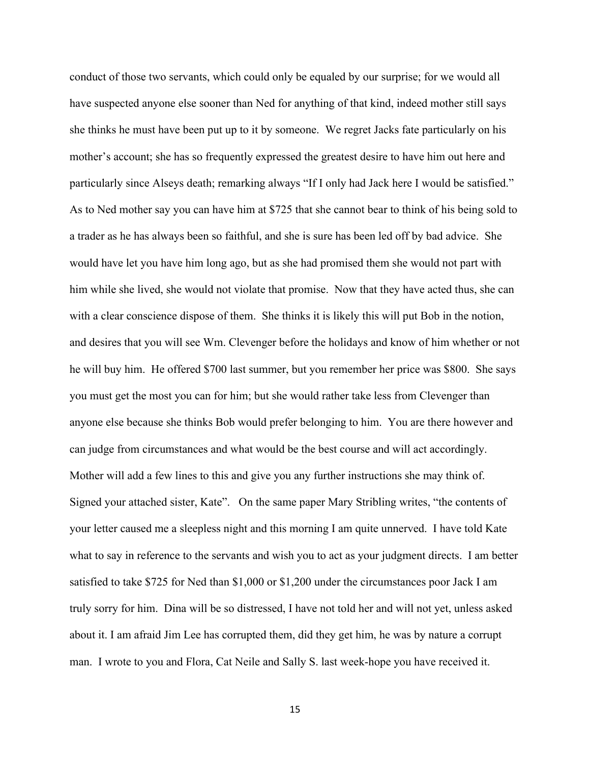conduct of those two servants, which could only be equaled by our surprise; for we would all have suspected anyone else sooner than Ned for anything of that kind, indeed mother still says she thinks he must have been put up to it by someone. We regret Jacks fate particularly on his mother's account; she has so frequently expressed the greatest desire to have him out here and particularly since Alseys death; remarking always "If I only had Jack here I would be satisfied." As to Ned mother say you can have him at \$725 that she cannot bear to think of his being sold to a trader as he has always been so faithful, and she is sure has been led off by bad advice. She would have let you have him long ago, but as she had promised them she would not part with him while she lived, she would not violate that promise. Now that they have acted thus, she can with a clear conscience dispose of them. She thinks it is likely this will put Bob in the notion, and desires that you will see Wm. Clevenger before the holidays and know of him whether or not he will buy him. He offered \$700 last summer, but you remember her price was \$800. She says you must get the most you can for him; but she would rather take less from Clevenger than anyone else because she thinks Bob would prefer belonging to him. You are there however and can judge from circumstances and what would be the best course and will act accordingly. Mother will add a few lines to this and give you any further instructions she may think of. Signed your attached sister, Kate". On the same paper Mary Stribling writes, "the contents of your letter caused me a sleepless night and this morning I am quite unnerved. I have told Kate what to say in reference to the servants and wish you to act as your judgment directs. I am better satisfied to take \$725 for Ned than \$1,000 or \$1,200 under the circumstances poor Jack I am truly sorry for him. Dina will be so distressed, I have not told her and will not yet, unless asked about it. I am afraid Jim Lee has corrupted them, did they get him, he was by nature a corrupt man. I wrote to you and Flora, Cat Neile and Sally S. last week-hope you have received it.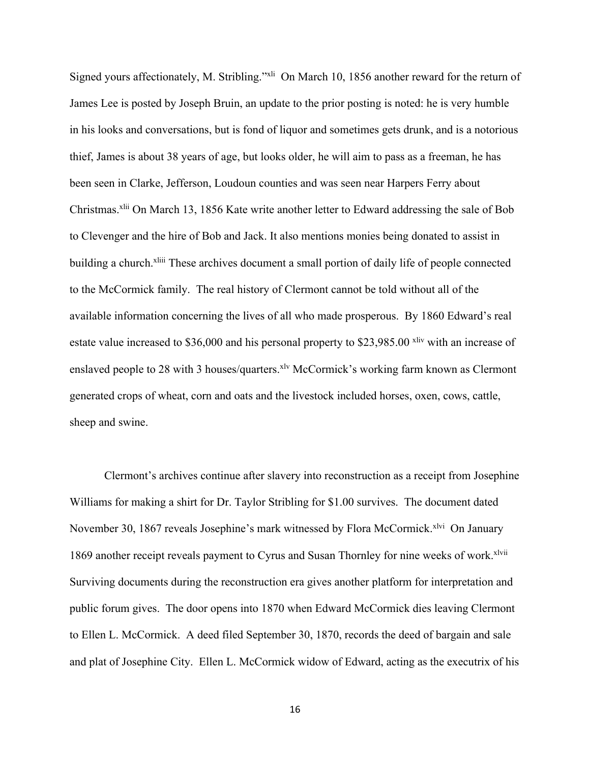Signed yours affectionately, M. Stribling."<sup>xli</sup> On March 10, 1856 another reward for the return of James Lee is posted by Joseph Bruin, an update to the prior posting is noted: he is very humble in his looks and conversations, but is fond of liquor and sometimes gets drunk, and is a notorious thief, James is about 38 years of age, but looks older, he will aim to pass as a freeman, he has been seen in Clarke, Jefferson, Loudoun counties and was seen near Harpers Ferry about Christmas.<sup>xlii</sup> On March 13, 1856 Kate write another letter to Edward addressing the sale of Bob to Clevenger and the hire of Bob and Jack. It also mentions monies being donated to assist in building a church.<sup>xliii</sup> These archives document a small portion of daily life of people connected to the McCormick family. The real history of Clermont cannot be told without all of the available information concerning the lives of all who made prosperous. By 1860 Edward's real estate value increased to \$36,000 and his personal property to \$23,985.00 xliv with an increase of enslaved people to 28 with 3 houses/quarters.<sup>xlv</sup> McCormick's working farm known as Clermont generated crops of wheat, corn and oats and the livestock included horses, oxen, cows, cattle, sheep and swine.

Clermont's archives continue after slavery into reconstruction as a receipt from Josephine Williams for making a shirt for Dr. Taylor Stribling for \$1.00 survives. The document dated November 30, 1867 reveals Josephine's mark witnessed by Flora McCormick.<sup>xlvi</sup> On January 1869 another receipt reveals payment to Cyrus and Susan Thornley for nine weeks of work. Xlvii Surviving documents during the reconstruction era gives another platform for interpretation and public forum gives. The door opens into 1870 when Edward McCormick dies leaving Clermont to Ellen L. McCormick. A deed filed September 30, 1870, records the deed of bargain and sale and plat of Josephine City. Ellen L. McCormick widow of Edward, acting as the executrix of his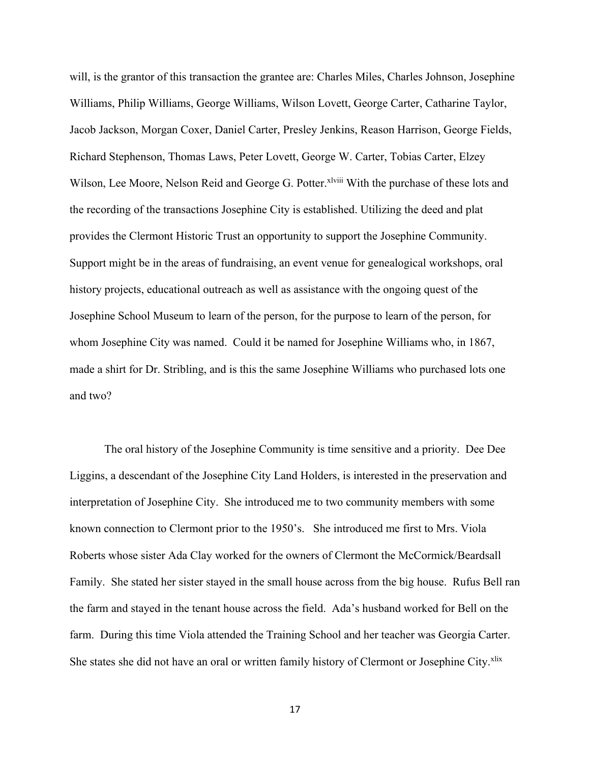will, is the grantor of this transaction the grantee are: Charles Miles, Charles Johnson, Josephine Williams, Philip Williams, George Williams, Wilson Lovett, George Carter, Catharine Taylor, Jacob Jackson, Morgan Coxer, Daniel Carter, Presley Jenkins, Reason Harrison, George Fields, Richard Stephenson, Thomas Laws, Peter Lovett, George W. Carter, Tobias Carter, Elzey Wilson, Lee Moore, Nelson Reid and George G. Potter. Xiviii With the purchase of these lots and the recording of the transactions Josephine City is established. Utilizing the deed and plat provides the Clermont Historic Trust an opportunity to support the Josephine Community. Support might be in the areas of fundraising, an event venue for genealogical workshops, oral history projects, educational outreach as well as assistance with the ongoing quest of the Josephine School Museum to learn of the person, for the purpose to learn of the person, for whom Josephine City was named. Could it be named for Josephine Williams who, in 1867, made a shirt for Dr. Stribling, and is this the same Josephine Williams who purchased lots one and two?

The oral history of the Josephine Community is time sensitive and a priority. Dee Dee Liggins, a descendant of the Josephine City Land Holders, is interested in the preservation and interpretation of Josephine City. She introduced me to two community members with some known connection to Clermont prior to the 1950's. She introduced me first to Mrs. Viola Roberts whose sister Ada Clay worked for the owners of Clermont the McCormick/Beardsall Family. She stated her sister stayed in the small house across from the big house. Rufus Bell ran the farm and stayed in the tenant house across the field. Ada's husband worked for Bell on the farm. During this time Viola attended the Training School and her teacher was Georgia Carter. She states she did not have an oral or written family history of Clermont or Josephine City.<sup>xlix</sup>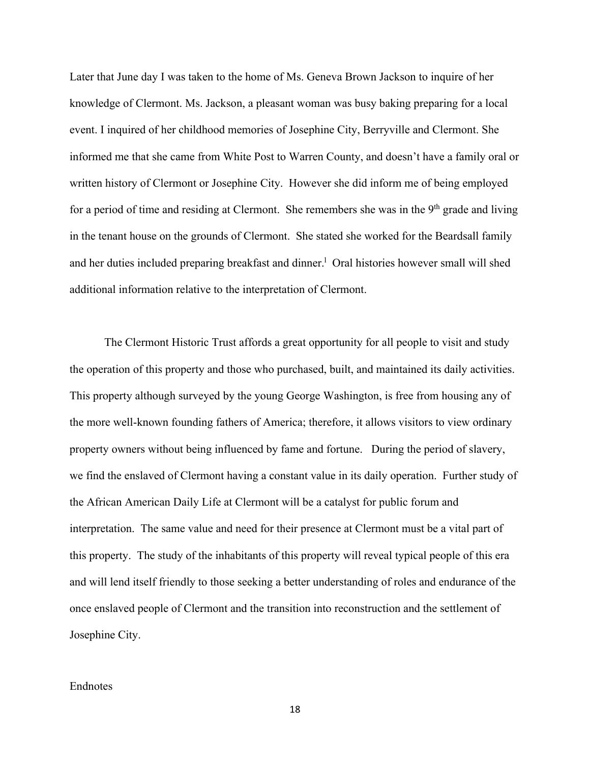Later that June day I was taken to the home of Ms. Geneva Brown Jackson to inquire of her knowledge of Clermont. Ms. Jackson, a pleasant woman was busy baking preparing for a local event. I inquired of her childhood memories of Josephine City, Berryville and Clermont. She informed me that she came from White Post to Warren County, and doesn't have a family oral or written history of Clermont or Josephine City. However she did inform me of being employed for a period of time and residing at Clermont. She remembers she was in the  $9<sup>th</sup>$  grade and living in the tenant house on the grounds of Clermont. She stated she worked for the Beardsall family and her duties included preparing breakfast and dinner.<sup>1</sup> Oral histories however small will shed additional information relative to the interpretation of Clermont.

The Clermont Historic Trust affords a great opportunity for all people to visit and study the operation of this property and those who purchased, built, and maintained its daily activities. This property although surveyed by the young George Washington, is free from housing any of the more well-known founding fathers of America; therefore, it allows visitors to view ordinary property owners without being influenced by fame and fortune. During the period of slavery, we find the enslaved of Clermont having a constant value in its daily operation. Further study of the African American Daily Life at Clermont will be a catalyst for public forum and interpretation. The same value and need for their presence at Clermont must be a vital part of this property. The study of the inhabitants of this property will reveal typical people of this era and will lend itself friendly to those seeking a better understanding of roles and endurance of the once enslaved people of Clermont and the transition into reconstruction and the settlement of Josephine City.

## Endnotes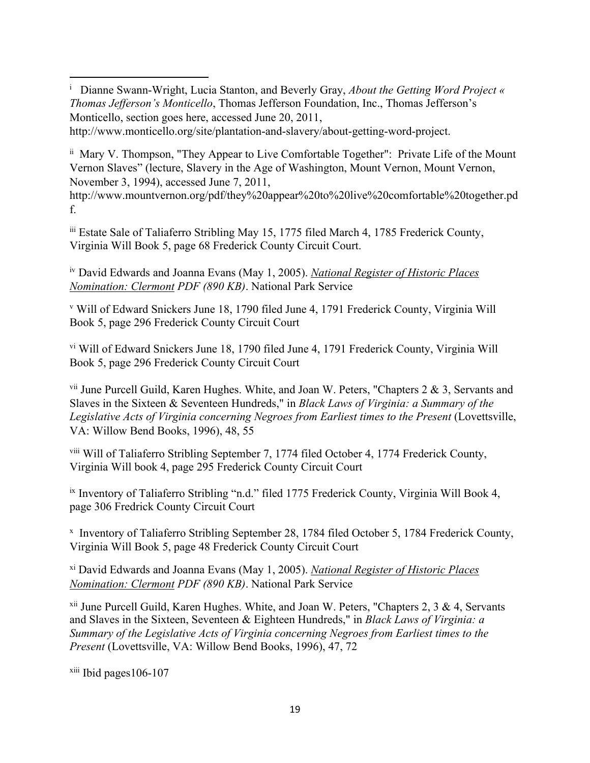<sup>i</sup> Dianne Swann-Wright, Lucia Stanton, and Beverly Gray, *About the Getting Word Project* « *Thomas Jefferson's Monticello*, Thomas Jefferson Foundation, Inc., Thomas Jefferson's Monticello, section goes here, accessed June 20, 2011,

http://www.monticello.org/site/plantation-and-slavery/about-getting-word-project.

ii Mary V. Thompson, "They Appear to Live Comfortable Together": Private Life of the Mount Vernon Slaves" (lecture, Slavery in the Age of Washington, Mount Vernon, Mount Vernon, November 3, 1994), accessed June 7, 2011,

http://www.mountvernon.org/pdf/they%20appear%20to%20live%20comfortable%20together.pd f.

iii Estate Sale of Taliaferro Stribling May 15, 1775 filed March 4, 1785 Frederick County, Virginia Will Book 5, page 68 Frederick County Circuit Court.

iv David Edwards and Joanna Evans (May 1, 2005). *National Register of Historic Places Nomination: Clermont PDF (890 KB)*. National Park Service

<sup>v</sup> Will of Edward Snickers June 18, 1790 filed June 4, 1791 Frederick County, Virginia Will Book 5, page 296 Frederick County Circuit Court

vi Will of Edward Snickers June 18, 1790 filed June 4, 1791 Frederick County, Virginia Will Book 5, page 296 Frederick County Circuit Court

<sup>vii</sup> June Purcell Guild, Karen Hughes. White, and Joan W. Peters, "Chapters 2 & 3, Servants and Slaves in the Sixteen & Seventeen Hundreds," in *Black Laws of Virginia: a Summary of the Legislative Acts of Virginia concerning Negroes from Earliest times to the Present* (Lovettsville, VA: Willow Bend Books, 1996), 48, 55

viii Will of Taliaferro Stribling September 7, 1774 filed October 4, 1774 Frederick County, Virginia Will book 4, page 295 Frederick County Circuit Court

ix Inventory of Taliaferro Stribling "n.d." filed 1775 Frederick County, Virginia Will Book 4, page 306 Fredrick County Circuit Court

x Inventory of Taliaferro Stribling September 28, 1784 filed October 5, 1784 Frederick County, Virginia Will Book 5, page 48 Frederick County Circuit Court

xi David Edwards and Joanna Evans (May 1, 2005). *National Register of Historic Places Nomination: Clermont PDF (890 KB)*. National Park Service

 $xii$  June Purcell Guild, Karen Hughes. White, and Joan W. Peters, "Chapters 2, 3 & 4, Servants and Slaves in the Sixteen, Seventeen & Eighteen Hundreds," in *Black Laws of Virginia: a Summary of the Legislative Acts of Virginia concerning Negroes from Earliest times to the Present* (Lovettsville, VA: Willow Bend Books, 1996), 47, 72

 $xiii$  Ibid pages 106-107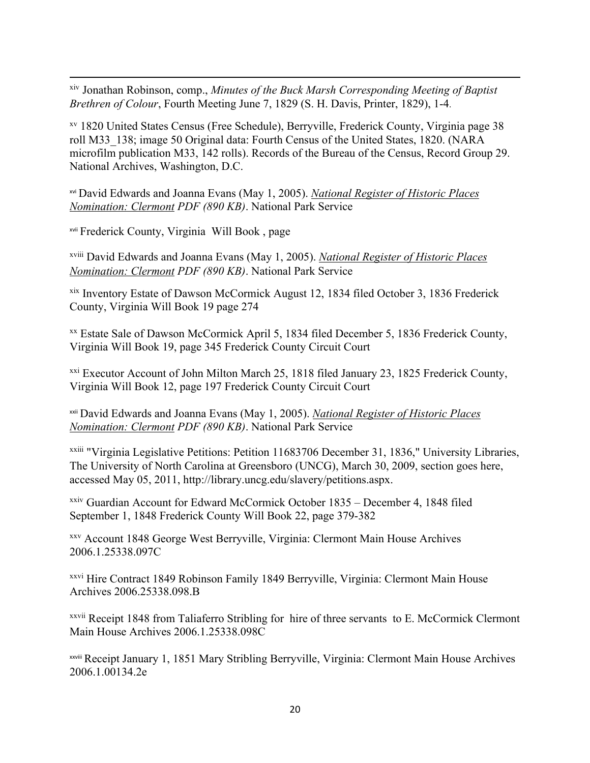xiv Jonathan Robinson, comp., *Minutes of the Buck Marsh Corresponding Meeting of Baptist Brethren of Colour*, Fourth Meeting June 7, 1829 (S. H. Davis, Printer, 1829), 1-4.

xv 1820 United States Census (Free Schedule), Berryville, Frederick County, Virginia page 38 roll M33\_138; image 50 Original data: Fourth Census of the United States, 1820. (NARA microfilm publication M33, 142 rolls). Records of the Bureau of the Census, Record Group 29. National Archives, Washington, D.C.

xvi David Edwards and Joanna Evans (May 1, 2005). *National Register of Historic Places Nomination: Clermont PDF (890 KB)*. National Park Service

xvii Frederick County, Virginia Will Book , page

xviii David Edwards and Joanna Evans (May 1, 2005). *National Register of Historic Places Nomination: Clermont PDF (890 KB)*. National Park Service

xix Inventory Estate of Dawson McCormick August 12, 1834 filed October 3, 1836 Frederick County, Virginia Will Book 19 page 274

xx Estate Sale of Dawson McCormick April 5, 1834 filed December 5, 1836 Frederick County, Virginia Will Book 19, page 345 Frederick County Circuit Court

xxi Executor Account of John Milton March 25, 1818 filed January 23, 1825 Frederick County, Virginia Will Book 12, page 197 Frederick County Circuit Court

xxii David Edwards and Joanna Evans (May 1, 2005). *National Register of Historic Places Nomination: Clermont PDF (890 KB)*. National Park Service

xxiii "Virginia Legislative Petitions: Petition 11683706 December 31, 1836," University Libraries, The University of North Carolina at Greensboro (UNCG), March 30, 2009, section goes here, accessed May 05, 2011, http://library.uncg.edu/slavery/petitions.aspx.

xxiv Guardian Account for Edward McCormick October 1835 – December 4, 1848 filed September 1, 1848 Frederick County Will Book 22, page 379-382

xxv Account 1848 George West Berryville, Virginia: Clermont Main House Archives 2006.1.25338.097C

xxvi Hire Contract 1849 Robinson Family 1849 Berryville, Virginia: Clermont Main House Archives 2006.25338.098.B

xxvii Receipt 1848 from Taliaferro Stribling for hire of three servants to E. McCormick Clermont Main House Archives 2006.1.25338.098C

xxviii Receipt January 1, 1851 Mary Stribling Berryville, Virginia: Clermont Main House Archives 2006.1.00134.2e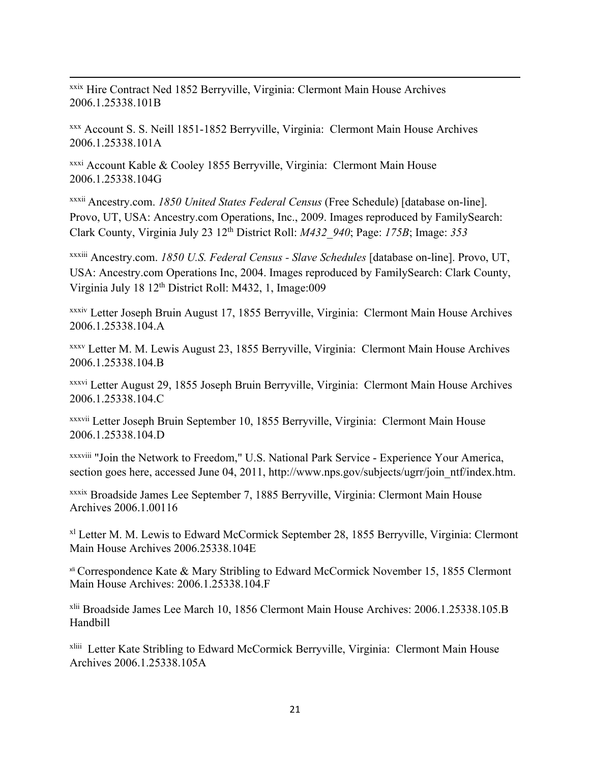xxix Hire Contract Ned 1852 Berryville, Virginia: Clermont Main House Archives 2006.1.25338.101B

xxx Account S. S. Neill 1851-1852 Berryville, Virginia: Clermont Main House Archives 2006.1.25338.101A

xxxi Account Kable & Cooley 1855 Berryville, Virginia: Clermont Main House 2006.1.25338.104G

xxxii Ancestry.com. *1850 United States Federal Census* (Free Schedule) [database on-line]. Provo, UT, USA: Ancestry.com Operations, Inc., 2009. Images reproduced by FamilySearch: Clark County, Virginia July 23 12th District Roll: *M432\_940*; Page: *175B*; Image: *353* 

xxxiii Ancestry.com. *1850 U.S. Federal Census - Slave Schedules* [database on-line]. Provo, UT, USA: Ancestry.com Operations Inc, 2004. Images reproduced by FamilySearch: Clark County, Virginia July 18 12th District Roll: M432, 1, Image:009

xxxiv Letter Joseph Bruin August 17, 1855 Berryville, Virginia: Clermont Main House Archives 2006.1.25338.104.A

xxxv Letter M. M. Lewis August 23, 1855 Berryville, Virginia: Clermont Main House Archives 2006.1.25338.104.B

xxxvi Letter August 29, 1855 Joseph Bruin Berryville, Virginia: Clermont Main House Archives 2006.1.25338.104.C

xxxvii Letter Joseph Bruin September 10, 1855 Berryville, Virginia: Clermont Main House 2006.1.25338.104.D

xxxviii "Join the Network to Freedom," U.S. National Park Service - Experience Your America, section goes here, accessed June 04, 2011, http://www.nps.gov/subjects/ugrr/join\_ntf/index.htm.

xxxix Broadside James Lee September 7, 1885 Berryville, Virginia: Clermont Main House Archives 2006.1.00116

<sup>x1</sup> Letter M. M. Lewis to Edward McCormick September 28, 1855 Berryville, Virginia: Clermont Main House Archives 2006.25338.104E

xli Correspondence Kate & Mary Stribling to Edward McCormick November 15, 1855 Clermont Main House Archives: 2006.1.25338.104.F

xlii Broadside James Lee March 10, 1856 Clermont Main House Archives: 2006.1.25338.105.B Handbill

xliii Letter Kate Stribling to Edward McCormick Berryville, Virginia: Clermont Main House Archives 2006.1.25338.105A